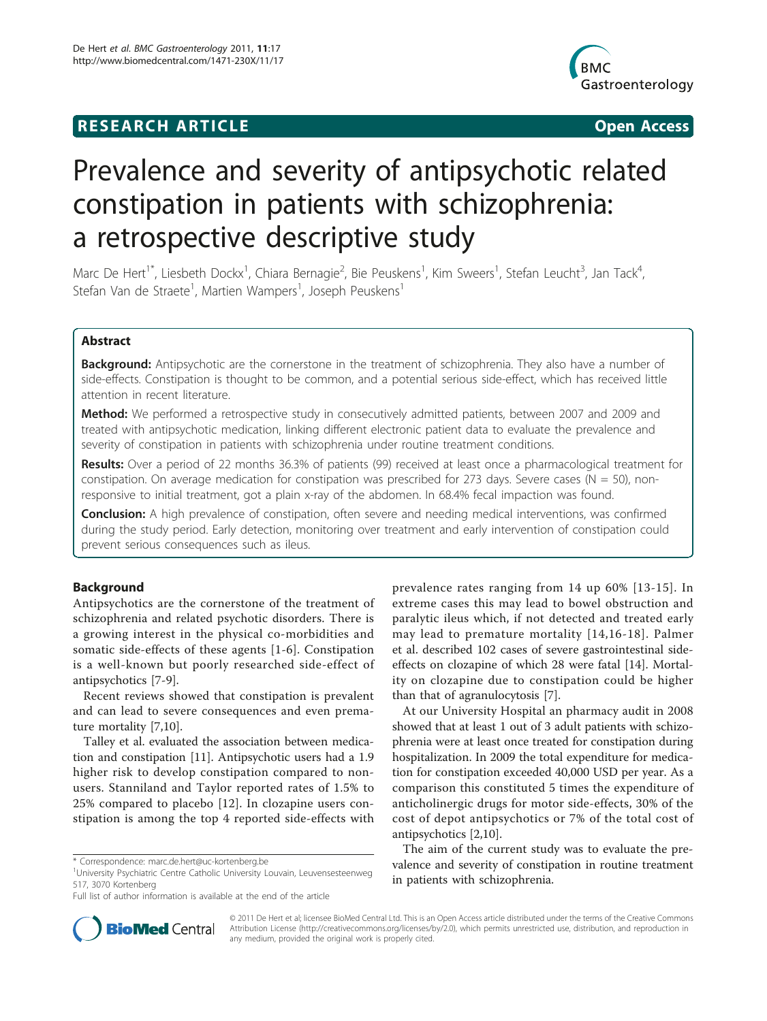# **RESEARCH ARTICLE Example 2018 CONSIDERING ACCESS**



# Prevalence and severity of antipsychotic related constipation in patients with schizophrenia: a retrospective descriptive study

Marc De Hert<sup>1\*</sup>, Liesbeth Dockx<sup>1</sup>, Chiara Bernagie<sup>2</sup>, Bie Peuskens<sup>1</sup>, Kim Sweers<sup>1</sup>, Stefan Leucht<sup>3</sup>, Jan Tack<sup>4</sup> , Stefan Van de Straete<sup>1</sup>, Martien Wampers<sup>1</sup>, Joseph Peuskens<sup>1</sup>

# Abstract

**Background:** Antipsychotic are the cornerstone in the treatment of schizophrenia. They also have a number of side-effects. Constipation is thought to be common, and a potential serious side-effect, which has received little attention in recent literature.

Method: We performed a retrospective study in consecutively admitted patients, between 2007 and 2009 and treated with antipsychotic medication, linking different electronic patient data to evaluate the prevalence and severity of constipation in patients with schizophrenia under routine treatment conditions.

Results: Over a period of 22 months 36.3% of patients (99) received at least once a pharmacological treatment for constipation. On average medication for constipation was prescribed for 273 days. Severe cases ( $N = 50$ ), nonresponsive to initial treatment, got a plain x-ray of the abdomen. In 68.4% fecal impaction was found.

Conclusion: A high prevalence of constipation, often severe and needing medical interventions, was confirmed during the study period. Early detection, monitoring over treatment and early intervention of constipation could prevent serious consequences such as ileus.

# Background

Antipsychotics are the cornerstone of the treatment of schizophrenia and related psychotic disorders. There is a growing interest in the physical co-morbidities and somatic side-effects of these agents [[1-6](#page-3-0)]. Constipation is a well-known but poorly researched side-effect of antipsychotics [\[7](#page-3-0)-[9\]](#page-3-0).

Recent reviews showed that constipation is prevalent and can lead to severe consequences and even premature mortality [[7,10\]](#page-3-0).

Talley et al. evaluated the association between medication and constipation [[11\]](#page-3-0). Antipsychotic users had a 1.9 higher risk to develop constipation compared to nonusers. Stanniland and Taylor reported rates of 1.5% to 25% compared to placebo [[12\]](#page-3-0). In clozapine users constipation is among the top 4 reported side-effects with

prevalence rates ranging from 14 up 60% [[13-15\]](#page-3-0). In extreme cases this may lead to bowel obstruction and paralytic ileus which, if not detected and treated early may lead to premature mortality [\[14](#page-3-0),[16](#page-3-0)-[18\]](#page-3-0). Palmer et al. described 102 cases of severe gastrointestinal sideeffects on clozapine of which 28 were fatal [\[14](#page-3-0)]. Mortality on clozapine due to constipation could be higher than that of agranulocytosis [\[7](#page-3-0)].

At our University Hospital an pharmacy audit in 2008 showed that at least 1 out of 3 adult patients with schizophrenia were at least once treated for constipation during hospitalization. In 2009 the total expenditure for medication for constipation exceeded 40,000 USD per year. As a comparison this constituted 5 times the expenditure of anticholinergic drugs for motor side-effects, 30% of the cost of depot antipsychotics or 7% of the total cost of antipsychotics [[2,10\]](#page-3-0).

The aim of the current study was to evaluate the prevalence and severity of constipation in routine treatment in patients with schizophrenia.



© 2011 De Hert et al; licensee BioMed Central Ltd. This is an Open Access article distributed under the terms of the Creative Commons Attribution License [\(http://creativecommons.org/licenses/by/2.0](http://creativecommons.org/licenses/by/2.0)), which permits unrestricted use, distribution, and reproduction in any medium, provided the original work is properly cited.

<sup>\*</sup> Correspondence: [marc.de.hert@uc-kortenberg.be](mailto:marc.de.hert@uc-kortenberg.be)

<sup>&</sup>lt;sup>1</sup>University Psychiatric Centre Catholic University Louvain, Leuvensesteenweg 517, 3070 Kortenberg

Full list of author information is available at the end of the article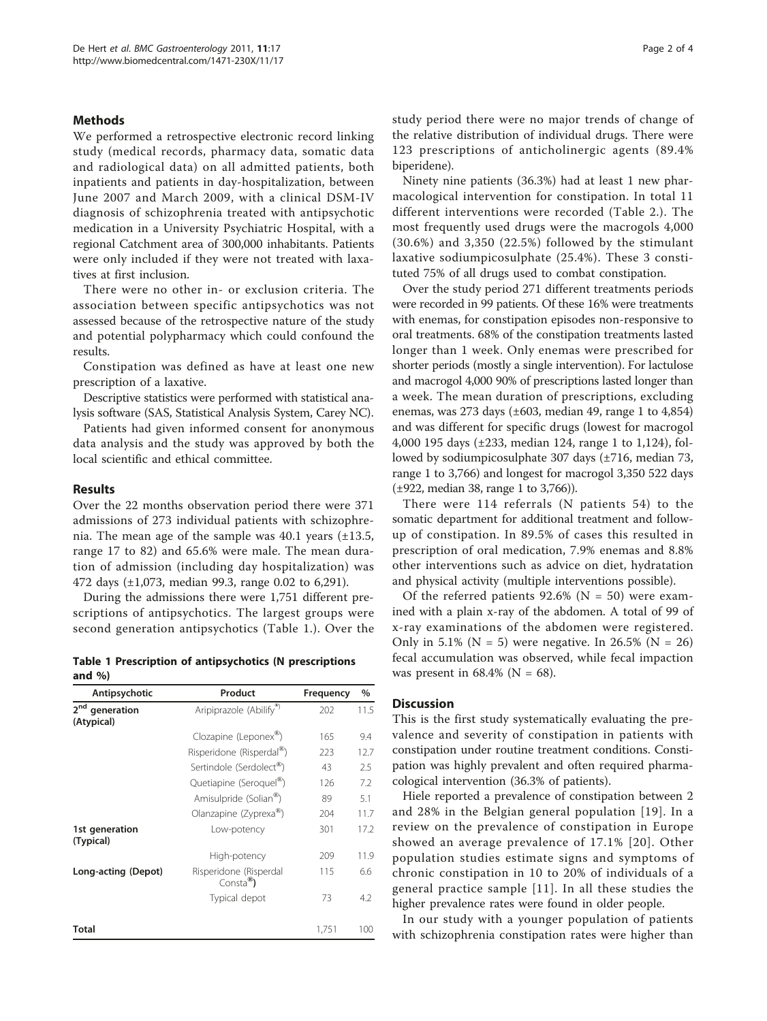# Methods

We performed a retrospective electronic record linking study (medical records, pharmacy data, somatic data and radiological data) on all admitted patients, both inpatients and patients in day-hospitalization, between June 2007 and March 2009, with a clinical DSM-IV diagnosis of schizophrenia treated with antipsychotic medication in a University Psychiatric Hospital, with a regional Catchment area of 300,000 inhabitants. Patients were only included if they were not treated with laxatives at first inclusion.

There were no other in- or exclusion criteria. The association between specific antipsychotics was not assessed because of the retrospective nature of the study and potential polypharmacy which could confound the results.

Constipation was defined as have at least one new prescription of a laxative.

Descriptive statistics were performed with statistical analysis software (SAS, Statistical Analysis System, Carey NC).

Patients had given informed consent for anonymous data analysis and the study was approved by both the local scientific and ethical committee.

# Results

Over the 22 months observation period there were 371 admissions of 273 individual patients with schizophrenia. The mean age of the sample was  $40.1$  years  $(\pm 13.5,$ range 17 to 82) and 65.6% were male. The mean duration of admission (including day hospitalization) was 472 days (±1,073, median 99.3, range 0.02 to 6,291).

During the admissions there were 1,751 different prescriptions of antipsychotics. The largest groups were second generation antipsychotics (Table 1.). Over the

Table 1 Prescription of antipsychotics (N prescriptions and %)

| Antipsychotic                               | Product                                  | Frequency | $\%$ |  |
|---------------------------------------------|------------------------------------------|-----------|------|--|
| 2 <sub>nd</sub><br>generation<br>(Atypical) | Aripiprazole (Abilify®)                  | 202       | 11.5 |  |
|                                             | Clozapine (Leponex®)                     | 165       | 9.4  |  |
|                                             | Risperidone (Risperdal <sup>®</sup> )    | 223       | 12.7 |  |
|                                             | Sertindole (Serdolect®)                  | 43        | 2.5  |  |
|                                             | Quetiapine (Seroquel®)                   | 126       | 7.2  |  |
|                                             | Amisulpride (Solian®)                    | 89        | 5.1  |  |
|                                             | Olanzapine (Zyprexa®)                    | 204       | 11.7 |  |
| 1st generation<br>(Typical)                 | Low-potency                              | 301       | 17.2 |  |
|                                             | High-potency                             | 209       | 11.9 |  |
| Long-acting (Depot)                         | Risperidone (Risperdal<br>$Consta^{(8)}$ | 115       | 6.6  |  |
|                                             | Typical depot                            | 73        | 4.2  |  |
| Total                                       |                                          | 1,751     | 100  |  |

study period there were no major trends of change of the relative distribution of individual drugs. There were 123 prescriptions of anticholinergic agents (89.4% biperidene).

Ninety nine patients (36.3%) had at least 1 new pharmacological intervention for constipation. In total 11 different interventions were recorded (Table [2.](#page-2-0)). The most frequently used drugs were the macrogols 4,000 (30.6%) and 3,350 (22.5%) followed by the stimulant laxative sodiumpicosulphate (25.4%). These 3 constituted 75% of all drugs used to combat constipation.

Over the study period 271 different treatments periods were recorded in 99 patients. Of these 16% were treatments with enemas, for constipation episodes non-responsive to oral treatments. 68% of the constipation treatments lasted longer than 1 week. Only enemas were prescribed for shorter periods (mostly a single intervention). For lactulose and macrogol 4,000 90% of prescriptions lasted longer than a week. The mean duration of prescriptions, excluding enemas, was 273 days (±603, median 49, range 1 to 4,854) and was different for specific drugs (lowest for macrogol 4,000 195 days (±233, median 124, range 1 to 1,124), followed by sodiumpicosulphate 307 days (±716, median 73, range 1 to 3,766) and longest for macrogol 3,350 522 days (±922, median 38, range 1 to 3,766)).

There were 114 referrals (N patients 54) to the somatic department for additional treatment and followup of constipation. In 89.5% of cases this resulted in prescription of oral medication, 7.9% enemas and 8.8% other interventions such as advice on diet, hydratation and physical activity (multiple interventions possible).

Of the referred patients  $92.6\%$  (N = 50) were examined with a plain x-ray of the abdomen. A total of 99 of x-ray examinations of the abdomen were registered. Only in 5.1% ( $N = 5$ ) were negative. In 26.5% ( $N = 26$ ) fecal accumulation was observed, while fecal impaction was present in  $68.4\%$  (N = 68).

# **Discussion**

This is the first study systematically evaluating the prevalence and severity of constipation in patients with constipation under routine treatment conditions. Constipation was highly prevalent and often required pharmacological intervention (36.3% of patients).

Hiele reported a prevalence of constipation between 2 and 28% in the Belgian general population [[19\]](#page-3-0). In a review on the prevalence of constipation in Europe showed an average prevalence of 17.1% [[20\]](#page-3-0). Other population studies estimate signs and symptoms of chronic constipation in 10 to 20% of individuals of a general practice sample [[11](#page-3-0)]. In all these studies the higher prevalence rates were found in older people.

In our study with a younger population of patients with schizophrenia constipation rates were higher than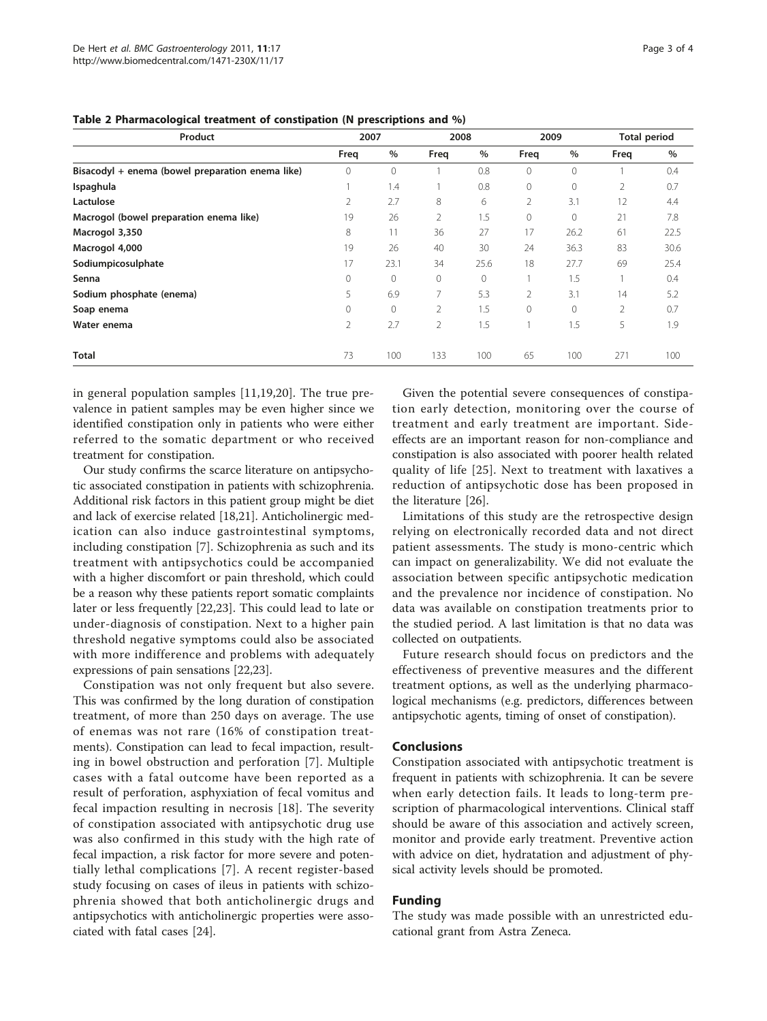| 2007           |              | 2008           |          | 2009     |      | <b>Total period</b> |      |
|----------------|--------------|----------------|----------|----------|------|---------------------|------|
| Freg           | %            | Freq           | $\%$     | Freq     | $\%$ | Freq                | $\%$ |
| $\overline{0}$ | $\circ$      |                | 0.8      | 0        | 0    |                     | 0.4  |
|                | 1.4          |                | 0.8      | 0        | 0    | 2                   | 0.7  |
| 2              | 2.7          | 8              | 6        | 2        | 3.1  | 12                  | 4.4  |
| 19             | 26           | 2              | 1.5      | 0        | 0    | 21                  | 7.8  |
| 8              | 11           | 36             | 27       | 17       | 26.2 | 61                  | 22.5 |
| 19             | 26           | 40             | 30       | 24       | 36.3 | 83                  | 30.6 |
| 17             | 23.1         | 34             | 25.6     | 18       | 27.7 | 69                  | 25.4 |
| $\Omega$       | $\circ$      | $\circ$        | $\Omega$ |          | 1.5  |                     | 0.4  |
| 5              | 6.9          | 7              | 5.3      | 2        | 3.1  | 14                  | 5.2  |
| $\Omega$       | $\mathbf{0}$ | $\overline{2}$ | 1.5      | $\Omega$ | 0    | $\overline{2}$      | 0.7  |
| 2              | 2.7          | $\overline{2}$ | 1.5      |          | 1.5  | 5                   | 1.9  |
| 73             | 100          | 133            | 100      | 65       | 100  | 271                 | 100  |
|                |              |                |          |          |      |                     |      |

<span id="page-2-0"></span>Table 2 Pharmacological treatment of constipation (N prescriptions and %)

in general population samples [[11,19,20](#page-3-0)]. The true prevalence in patient samples may be even higher since we identified constipation only in patients who were either referred to the somatic department or who received treatment for constipation.

Our study confirms the scarce literature on antipsychotic associated constipation in patients with schizophrenia. Additional risk factors in this patient group might be diet and lack of exercise related [\[18,21](#page-3-0)]. Anticholinergic medication can also induce gastrointestinal symptoms, including constipation [\[7](#page-3-0)]. Schizophrenia as such and its treatment with antipsychotics could be accompanied with a higher discomfort or pain threshold, which could be a reason why these patients report somatic complaints later or less frequently [[22,23\]](#page-3-0). This could lead to late or under-diagnosis of constipation. Next to a higher pain threshold negative symptoms could also be associated with more indifference and problems with adequately expressions of pain sensations [\[22,23](#page-3-0)].

Constipation was not only frequent but also severe. This was confirmed by the long duration of constipation treatment, of more than 250 days on average. The use of enemas was not rare (16% of constipation treatments). Constipation can lead to fecal impaction, resulting in bowel obstruction and perforation [[7](#page-3-0)]. Multiple cases with a fatal outcome have been reported as a result of perforation, asphyxiation of fecal vomitus and fecal impaction resulting in necrosis [[18](#page-3-0)]. The severity of constipation associated with antipsychotic drug use was also confirmed in this study with the high rate of fecal impaction, a risk factor for more severe and potentially lethal complications [\[7](#page-3-0)]. A recent register-based study focusing on cases of ileus in patients with schizophrenia showed that both anticholinergic drugs and antipsychotics with anticholinergic properties were associated with fatal cases [[24](#page-3-0)].

Given the potential severe consequences of constipation early detection, monitoring over the course of treatment and early treatment are important. Sideeffects are an important reason for non-compliance and constipation is also associated with poorer health related quality of life [[25](#page-3-0)]. Next to treatment with laxatives a reduction of antipsychotic dose has been proposed in the literature [[26](#page-3-0)].

Limitations of this study are the retrospective design relying on electronically recorded data and not direct patient assessments. The study is mono-centric which can impact on generalizability. We did not evaluate the association between specific antipsychotic medication and the prevalence nor incidence of constipation. No data was available on constipation treatments prior to the studied period. A last limitation is that no data was collected on outpatients.

Future research should focus on predictors and the effectiveness of preventive measures and the different treatment options, as well as the underlying pharmacological mechanisms (e.g. predictors, differences between antipsychotic agents, timing of onset of constipation).

# Conclusions

Constipation associated with antipsychotic treatment is frequent in patients with schizophrenia. It can be severe when early detection fails. It leads to long-term prescription of pharmacological interventions. Clinical staff should be aware of this association and actively screen, monitor and provide early treatment. Preventive action with advice on diet, hydratation and adjustment of physical activity levels should be promoted.

# Funding

The study was made possible with an unrestricted educational grant from Astra Zeneca.